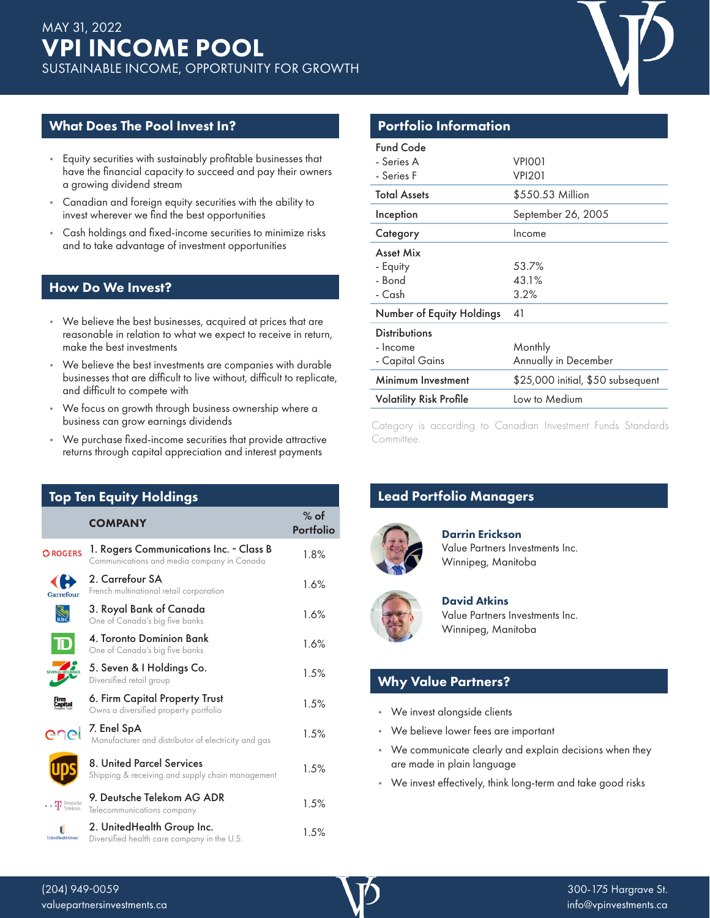# What Does The Pool Invest In?

- Equity securities with sustainably profitable businesses that have the financial capacity to succeed and pay their owners a growing dividend stream
- Canadian and foreign equity securities with the ability to invest wherever we find the best opportunities
- Cash holdings and fixed-income securities to minimize risks and to take advantage of investment opportunities

### How Do We Invest?

- We believe the best businesses, acquired at prices that are reasonable in relation to what we expect to receive in return, make the best investments
- We believe the best investments are companies with durable businesses that are difficult to live without, difficult to replicate, and difficult to compete with
- We focus on growth through business ownership where a business can grow earnings dividends
- We purchase fixed-income securities that provide attractive returns through capital appreciation and interest payments

| <b>Top Ten Equity Holdings</b> |                                                                                       |                     |  |  |  |
|--------------------------------|---------------------------------------------------------------------------------------|---------------------|--|--|--|
|                                | <b>COMPANY</b>                                                                        | $%$ of<br>Portfolio |  |  |  |
| <b>OROGERS</b>                 | 1. Rogers Communications Inc. - Class B<br>Communications and media company in Canada | 1.8%                |  |  |  |
| Carrefour                      | 2. Carrefour SA<br>French multinational retail corporation                            | 1.6%                |  |  |  |
|                                | 3. Royal Bank of Canada<br>One of Canada's big five banks                             | 1.6%                |  |  |  |
|                                | 4. Toronto Dominion Bank<br>One of Canada's big five banks                            | 1.6%                |  |  |  |
|                                | 5. Seven & I Holdings Co.<br>Diversified retail group                                 | 1.5%                |  |  |  |
| apital:                        | 6. Firm Capital Property Trust<br>Owns a diversified property portfolio               | 1.5%                |  |  |  |
| ene                            | 7. Enel SpA<br>Manufacturer and distributor of electricity and gas                    | 1.5%                |  |  |  |
|                                | 8. United Parcel Services<br>Shipping & receiving and supply chain management         | 1.5%                |  |  |  |
| <b>T</b> Deutsche              | 9. Deutsche Telekom AG ADR<br>Telecommunications company                              | 1.5%                |  |  |  |
| UnitedHealth Group"            | 2. UnitedHealth Group Inc.<br>Diversified health care company in the U.S.             | 1.5%                |  |  |  |

# Portfolio Information

| <b>Fund Code</b>               |                                   |
|--------------------------------|-----------------------------------|
| - Series A                     | VPIOO1                            |
| - Series F                     | VPI201                            |
| <b>Total Assets</b>            | \$550.53 Million                  |
| Inception                      | September 26, 2005                |
| Category                       | Income                            |
| <b>Asset Mix</b>               |                                   |
| - Equity                       | 53.7%                             |
| - Bond                         | 43.1%                             |
| - Cash                         | 3.2%                              |
| Number of Equity Holdings      | 41                                |
| <b>Distributions</b>           |                                   |
| - Income                       | Monthly                           |
| - Capital Gains                | Annually in December              |
| Minimum Investment             | \$25,000 initial, \$50 subsequent |
| <b>Volatility Risk Profile</b> | Low to Medium                     |
|                                |                                   |

Category is according to Canadian Investment Funds Standards Committee.

# **Lead Portfolio Managers**



Darrin Erickson Value Partners Investments Inc. Winnipeg, Manitoba



#### David Atkins Value Partners Investments Inc. Winnipeg, Manitoba

# Why Value Partners?

- We invest alongside clients
- We believe lower fees are important
- We communicate clearly and explain decisions when they are made in plain language
- We invest effectively, think long-term and take good risks